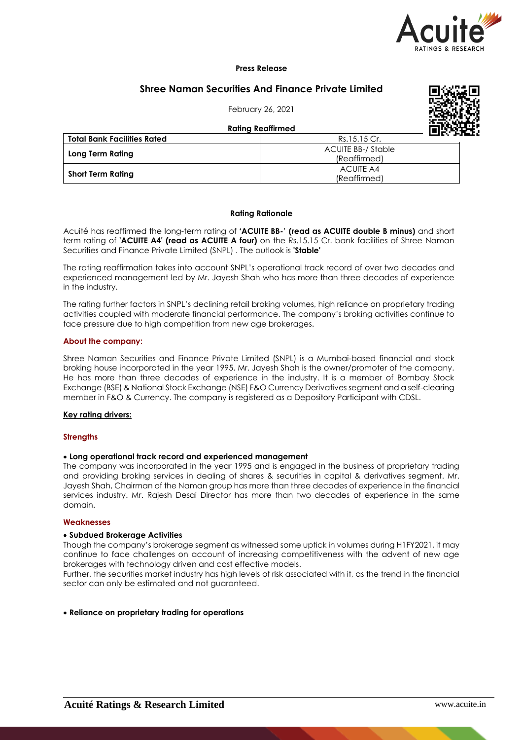

### **Press Release**

# **Shree Naman Securities And Finance Private Limited**

February 26, 2021



**Rating Reaffirmed**

| *********************              |                        |  |  |
|------------------------------------|------------------------|--|--|
| <b>Total Bank Facilities Rated</b> | LUD OF<br>Rs.15.15 Cr. |  |  |
|                                    | ACUITE BB-/ Stable     |  |  |
| Long Term Rating                   | (Reaffirmed)           |  |  |
|                                    | ACUITE A4              |  |  |
| <b>Short Term Rating</b>           | (Reaffirmed)           |  |  |

#### **Rating Rationale**

Acuité has reaffirmed the long-term rating of **'ACUITE BB-**' **(read as ACUITE double B minus)** and short term rating of **'ACUITE A4' (read as ACUITE A four)** on the Rs.15.15 Cr. bank facilities of Shree Naman Securities and Finance Private Limited (SNPL) . The outlook is **'Stable'**

The rating reaffirmation takes into account SNPL's operational track record of over two decades and experienced management led by Mr. Jayesh Shah who has more than three decades of experience in the industry.

The rating further factors in SNPL's declining retail broking volumes, high reliance on proprietary trading activities coupled with moderate financial performance. The company's broking activities continue to face pressure due to high competition from new age brokerages.

### **About the company:**

Shree Naman Securities and Finance Private Limited (SNPL) is a Mumbai-based financial and stock broking house incorporated in the year 1995. Mr. Jayesh Shah is the owner/promoter of the company. He has more than three decades of experience in the industry. It is a member of Bombay Stock Exchange (BSE) & National Stock Exchange (NSE) F&O Currency Derivatives segment and a self-clearing member in F&O & Currency. The company is registered as a Depository Participant with CDSL.

### **Key rating drivers:**

#### **Strengths**

## **Long operational track record and experienced management**

The company was incorporated in the year 1995 and is engaged in the business of proprietary trading and providing broking services in dealing of shares & securities in capital & derivatives segment. Mr. Jayesh Shah, Chairman of the Naman group has more than three decades of experience in the financial services industry. Mr. Rajesh Desai Director has more than two decades of experience in the same domain.

#### **Weaknesses**

#### **Subdued Brokerage Activities**

Though the company's brokerage segment as witnessed some uptick in volumes during H1FY2021, it may continue to face challenges on account of increasing competitiveness with the advent of new age brokerages with technology driven and cost effective models.

Further, the securities market industry has high levels of risk associated with it, as the trend in the financial sector can only be estimated and not guaranteed.

#### **Reliance on proprietary trading for operations**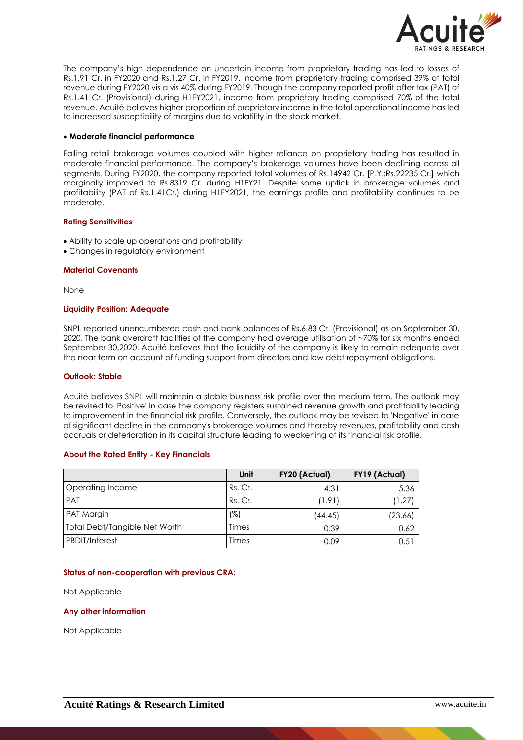

The company's high dependence on uncertain income from proprietary trading has led to losses of Rs.1.91 Cr. in FY2020 and Rs.1.27 Cr. in FY2019. Income from proprietary trading comprised 39% of total revenue during FY2020 vis a vis 40% during FY2019. Though the company reported profit after tax (PAT) of Rs.1.41 Cr. (Provisional) during H1FY2021, income from proprietary trading comprised 70% of the total revenue. Acuité believes higher proportion of proprietary income in the total operational income has led to increased susceptibility of margins due to volatility in the stock market.

### **Moderate financial performance**

Falling retail brokerage volumes coupled with higher reliance on proprietary trading has resulted in moderate financial performance. The company's brokerage volumes have been declining across all segments. During FY2020, the company reported total volumes of Rs.14942 Cr. [P.Y.:Rs.22235 Cr.] which marginally improved to Rs.8319 Cr. during H1FY21. Despite some uptick in brokerage volumes and profitability (PAT of Rs.1.41Cr.) during H1FY2021, the earnings profile and profitability continues to be moderate.

### **Rating Sensitivities**

- Ability to scale up operations and profitability
- Changes in regulatory environment

### **Material Covenants**

None

### **Liquidity Position: Adequate**

SNPL reported unencumbered cash and bank balances of Rs.6.83 Cr. (Provisional) as on September 30, 2020. The bank overdraft facilities of the company had average utilisation of ~70% for six months ended September 30,2020. Acuité believes that the liquidity of the company is likely to remain adequate over the near term on account of funding support from directors and low debt repayment obligations.

#### **Outlook: Stable**

Acuité believes SNPL will maintain a stable business risk profile over the medium term. The outlook may be revised to 'Positive' in case the company registers sustained revenue growth and profitability leading to improvement in the financial risk profile. Conversely, the outlook may be revised to 'Negative' in case of significant decline in the company's brokerage volumes and thereby revenues, profitability and cash accruals or deterioration in its capital structure leading to weakening of its financial risk profile.

## **About the Rated Entity - Key Financials**

|                               | Unit    | FY20 (Actual) | FY19 (Actual) |
|-------------------------------|---------|---------------|---------------|
| Operating Income              | Rs. Cr. | 4.31          | 5.36          |
| PAT                           | Rs. Cr. | (1.91)        | (1.27)        |
| PAT Margin                    | (%)     | (44.45)       | (23.66)       |
| Total Debt/Tangible Net Worth | Times   | 0.39          | 0.62          |
| <b>PBDIT/Interest</b>         | Times   | 0.09          | 0.5           |

## **Status of non-cooperation with previous CRA:**

Not Applicable

## **Any other information**

Not Applicable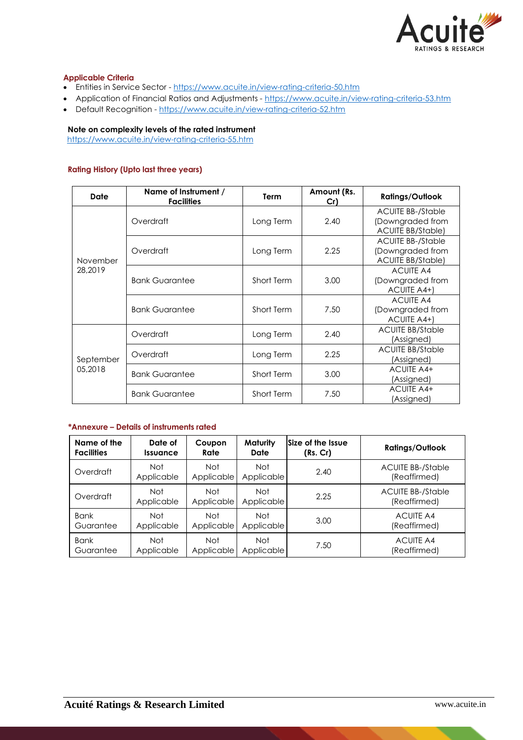

## **Applicable Criteria**

- Entities in Service Sector https://www.acuite.in/view-rating-criteria-50.htm
- Application of Financial Ratios and Adjustments https://www.acuite.in/view-rating-criteria-53.htm
- Default Recognition https://www.acuite.in/view-rating-criteria-52.htm

## **Note on complexity levels of the rated instrument**

https://www.acuite.in/view-rating-criteria-55.htm

## **Rating History (Upto last three years)**

| Date                 | Name of Instrument /<br><b>Facilities</b> | <b>Term</b>       | Amount (Rs.<br>Cr) | <b>Ratings/Outlook</b>                                                   |
|----------------------|-------------------------------------------|-------------------|--------------------|--------------------------------------------------------------------------|
| November<br>28,2019  | Overdraft                                 | Long Term         | 2.40               | <b>ACUITE BB-/Stable</b><br>(Downgraded from<br><b>ACUITE BB/Stable)</b> |
|                      | Overdraft                                 | Long Term         | 2.25               | <b>ACUITE BB-/Stable</b><br>(Downgraded from<br><b>ACUITE BB/Stable)</b> |
|                      | <b>Bank Guarantee</b>                     | Short Term        | 3.00               | <b>ACUITE A4</b><br>(Downgraded from<br>ACUITE A4+)                      |
|                      | <b>Bank Guarantee</b>                     | Short Term        | 7.50               | <b>ACUITE A4</b><br>(Downgraded from<br>ACUITE A4+)                      |
|                      | Overdraft                                 | Long Term         | 2.40               | <b>ACUITE BB/Stable</b><br>(Assigned)                                    |
| September<br>05,2018 | Overdraft                                 | Long Term         | 2.25               | <b>ACUITE BB/Stable</b><br>(Assigned)                                    |
|                      | <b>Bank Guarantee</b>                     | Short Term        | 3.00               | <b>ACUITE A4+</b><br>(Assigned)                                          |
|                      | <b>Bank Guarantee</b>                     | <b>Short Term</b> | 7.50               | ACUITE A4+<br>(Assigned)                                                 |

## **\*Annexure – Details of instruments rated**

| Name of the       | Date of                       | Coupon                   | <b>Maturity</b>    | Size of the Issue | <b>Ratings/Outlook</b>                   |
|-------------------|-------------------------------|--------------------------|--------------------|-------------------|------------------------------------------|
| <b>Facilities</b> | <i><u><b>Issuance</b></u></i> | Rate                     | Date               | (Rs. Cr)          |                                          |
| Overdraft         | Not<br>Applicable             | <b>Not</b><br>Applicable | Not.<br>Applicable | 2.40              | <b>ACUITE BB-/Stable</b><br>(Reaffirmed) |
| Overdraft         | Not<br>Applicable             | Not<br>Applicable        | Not<br>Applicable  | 2.25              | <b>ACUITE BB-/Stable</b><br>(Reaffirmed) |
| <b>Bank</b>       | Not                           | <b>Not</b>               | Not.               | 3.00              | <b>ACUITE A4</b>                         |
| Guarantee         | Applicable                    | Applicable               | Applicable         |                   | (Reaffirmed)                             |
| <b>Bank</b>       | Not                           | <b>Not</b>               | Not                | 7.50              | <b>ACUITE A4</b>                         |
| Guarantee         | Applicable                    | Applicable               | Applicable         |                   | (Reaffirmed)                             |